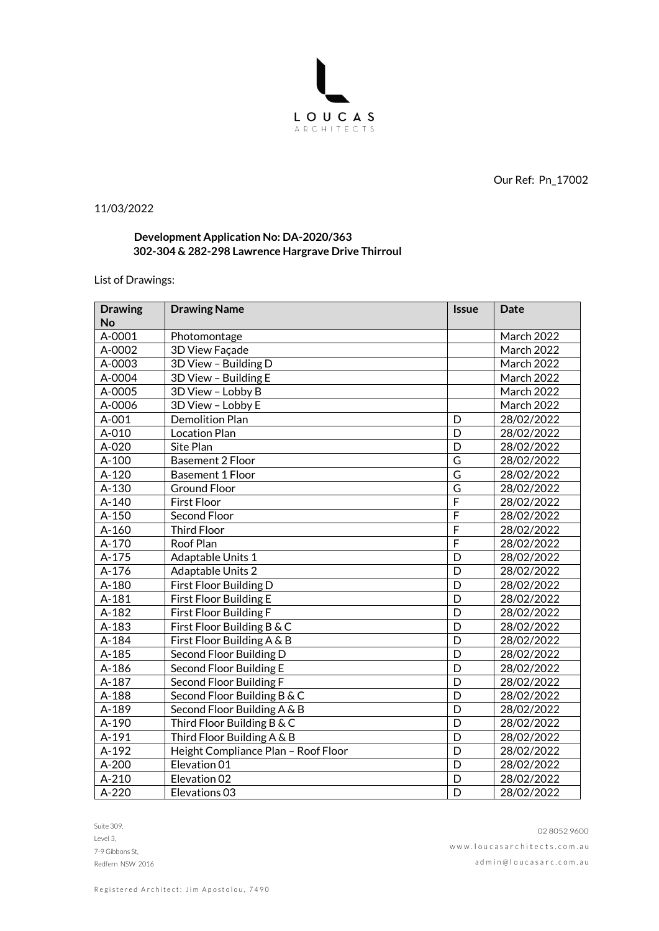

Our Ref: Pn\_17002

11/03/2022

## **Development Application No: DA-2020/363 302-304 & 282-298 Lawrence Hargrave Drive Thirroul**

## List of Drawings:

| <b>Drawing</b><br><b>No</b> | <b>Drawing Name</b>                 | <b>Issue</b>            | Date              |
|-----------------------------|-------------------------------------|-------------------------|-------------------|
| A-0001                      | Photomontage                        |                         | <b>March 2022</b> |
| A-0002                      | 3D View Façade                      |                         | <b>March 2022</b> |
| A-0003                      | 3D View - Building D                |                         | March 2022        |
| A-0004                      | 3D View - Building E                |                         | <b>March 2022</b> |
| A-0005                      | 3D View - Lobby B                   |                         | <b>March 2022</b> |
| A-0006                      | 3D View - Lobby E                   |                         | March 2022        |
| $A-001$                     | <b>Demolition Plan</b>              | D                       | 28/02/2022        |
| A-010                       | <b>Location Plan</b>                | D                       | 28/02/2022        |
| A-020                       | Site Plan                           | D                       | 28/02/2022        |
| $A-100$                     | <b>Basement 2 Floor</b>             | $\overline{\mathsf{G}}$ | 28/02/2022        |
| $A-120$                     | <b>Basement 1 Floor</b>             | G                       | 28/02/2022        |
| A-130                       | <b>Ground Floor</b>                 | G                       | 28/02/2022        |
| $A-140$                     | <b>First Floor</b>                  | $\overline{F}$          | 28/02/2022        |
| A-150                       | Second Floor                        | F                       | 28/02/2022        |
| $A-160$                     | <b>Third Floor</b>                  | $\overline{F}$          | 28/02/2022        |
| A-170                       | Roof Plan                           | F                       | 28/02/2022        |
| A-175                       | Adaptable Units 1                   | D                       | 28/02/2022        |
| $A-176$                     | Adaptable Units 2                   | D                       | 28/02/2022        |
| A-180                       | First Floor Building D              | D                       | 28/02/2022        |
| $A-181$                     | First Floor Building E              | D                       | 28/02/2022        |
| $A-182$                     | First Floor Building F              | D                       | 28/02/2022        |
| A-183                       | First Floor Building B & C          | $\overline{D}$          | 28/02/2022        |
| A-184                       | First Floor Building A & B          | D                       | 28/02/2022        |
| A-185                       | Second Floor Building D             | D                       | 28/02/2022        |
| A-186                       | Second Floor Building E             | D                       | 28/02/2022        |
| A-187                       | Second Floor Building F             | D                       | 28/02/2022        |
| A-188                       | Second Floor Building B & C         | D                       | 28/02/2022        |
| A-189                       | Second Floor Building A & B         | D                       | 28/02/2022        |
| A-190                       | Third Floor Building B & C          | D                       | 28/02/2022        |
| A-191                       | Third Floor Building A & B          | D                       | 28/02/2022        |
| A-192                       | Height Compliance Plan - Roof Floor | D                       | 28/02/2022        |
| $A-200$                     | Elevation 01                        | D                       | 28/02/2022        |
| $A-210$                     | Elevation 02                        | D                       | 28/02/2022        |
| $A-220$                     | Elevations 03                       | D                       | 28/02/2022        |

Suite 309, Level 3, 7-9 Gibbons St, Redfern NSW 2016

02 8052 9600 www.loucasarchitects.com.au ad m in @ l o u c a s a r c . c o m . a u